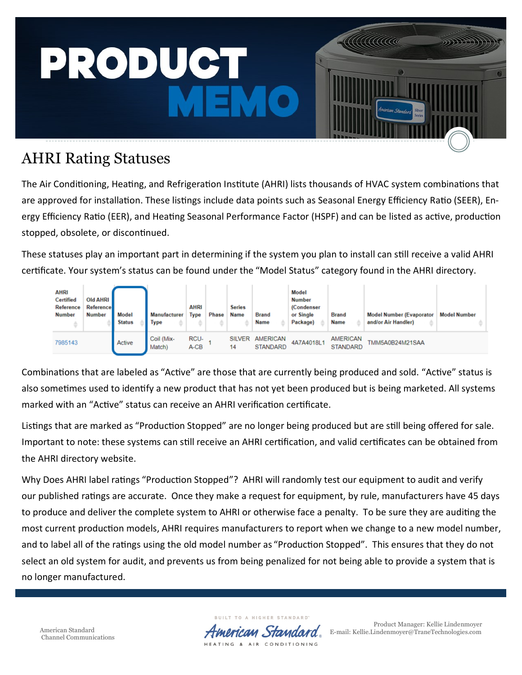

## AHRI Rating Statuses

The Air Conditioning, Heating, and Refrigeration Institute (AHRI) lists thousands of HVAC system combinations that are approved for installation. These listings include data points such as Seasonal Energy Efficiency Ratio (SEER), Energy Efficiency Ratio (EER), and Heating Seasonal Performance Factor (HSPF) and can be listed as active, production stopped, obsolete, or discontinued.

These statuses play an important part in determining if the system you plan to install can still receive a valid AHRI certificate. Your system's status can be found under the "Model Status" category found in the AHRI directory.



Combinations that are labeled as "Active" are those that are currently being produced and sold. "Active" status is also sometimes used to identify a new product that has not yet been produced but is being marketed. All systems marked with an "Active" status can receive an AHRI verification certificate.

Listings that are marked as "Production Stopped" are no longer being produced but are still being offered for sale. Important to note: these systems can still receive an AHRI certification, and valid certificates can be obtained from the AHRI directory website.

Why Does AHRI label ratings "Production Stopped"? AHRI will randomly test our equipment to audit and verify our published ratings are accurate. Once they make a request for equipment, by rule, manufacturers have 45 days to produce and deliver the complete system to AHRI or otherwise face a penalty. To be sure they are auditing the most current production models, AHRI requires manufacturers to report when we change to a new model number, and to label all of the ratings using the old model number as "Production Stopped". This ensures that they do not select an old system for audit, and prevents us from being penalized for not being able to provide a system that is no longer manufactured.

> **BUILT** TO A STANDARD HEATING & AIR CONDITIONING

Product Manager: Kellie Lindenmoyer American Standard **E-mail: Kellie.Lindenmoyer@TraneTechnologies.com**